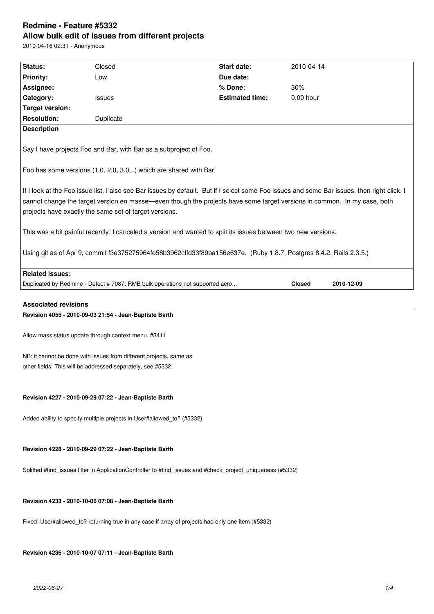# **Redmine - Feature #5332 Allow bulk edit of issues from different projects**

2010-04-16 02:31 - Anonymous

| Status:                                                                                                                                                                                                                                                                                                                           |                                                                                                             | Start date:            |                                                                    |            |  |  |  |
|-----------------------------------------------------------------------------------------------------------------------------------------------------------------------------------------------------------------------------------------------------------------------------------------------------------------------------------|-------------------------------------------------------------------------------------------------------------|------------------------|--------------------------------------------------------------------|------------|--|--|--|
|                                                                                                                                                                                                                                                                                                                                   | Closed                                                                                                      | Due date:              | 2010-04-14                                                         |            |  |  |  |
| <b>Priority:</b>                                                                                                                                                                                                                                                                                                                  | Low                                                                                                         | % Done:                |                                                                    |            |  |  |  |
| Assignee:<br>Category:                                                                                                                                                                                                                                                                                                            | <b>Issues</b>                                                                                               | <b>Estimated time:</b> | 30%<br>0.00 hour                                                   |            |  |  |  |
| <b>Target version:</b>                                                                                                                                                                                                                                                                                                            |                                                                                                             |                        |                                                                    |            |  |  |  |
| <b>Resolution:</b>                                                                                                                                                                                                                                                                                                                | Duplicate                                                                                                   |                        |                                                                    |            |  |  |  |
| <b>Description</b>                                                                                                                                                                                                                                                                                                                |                                                                                                             |                        |                                                                    |            |  |  |  |
|                                                                                                                                                                                                                                                                                                                                   |                                                                                                             |                        |                                                                    |            |  |  |  |
| Say I have projects Foo and Bar, with Bar as a subproject of Foo.                                                                                                                                                                                                                                                                 |                                                                                                             |                        |                                                                    |            |  |  |  |
| Foo has some versions (1.0, 2.0, 3.0) which are shared with Bar.                                                                                                                                                                                                                                                                  |                                                                                                             |                        |                                                                    |            |  |  |  |
| If I look at the Foo issue list, I also see Bar issues by default. But if I select some Foo issues and some Bar issues, then right-click, I<br>cannot change the target version en masse—even though the projects have some target versions in common. In my case, both<br>projects have exactly the same set of target versions. |                                                                                                             |                        |                                                                    |            |  |  |  |
| This was a bit painful recently; I canceled a version and wanted to split its issues between two new versions.                                                                                                                                                                                                                    |                                                                                                             |                        |                                                                    |            |  |  |  |
| Using git as of Apr 9, commit f3e375275964fe58b3962cffd33f89ba156e637e. (Ruby 1.8.7, Postgres 8.4.2, Rails 2.3.5.)                                                                                                                                                                                                                |                                                                                                             |                        |                                                                    |            |  |  |  |
| <b>Related issues:</b>                                                                                                                                                                                                                                                                                                            |                                                                                                             |                        |                                                                    |            |  |  |  |
|                                                                                                                                                                                                                                                                                                                                   | Duplicated by Redmine - Defect # 7087: RMB bulk operations not supported acro                               |                        | <b>Closed</b>                                                      | 2010-12-09 |  |  |  |
|                                                                                                                                                                                                                                                                                                                                   |                                                                                                             |                        |                                                                    |            |  |  |  |
| <b>Associated revisions</b>                                                                                                                                                                                                                                                                                                       |                                                                                                             |                        |                                                                    |            |  |  |  |
|                                                                                                                                                                                                                                                                                                                                   | Revision 4055 - 2010-09-03 21:54 - Jean-Baptiste Barth                                                      |                        |                                                                    |            |  |  |  |
| Allow mass status update through context menu. #3411                                                                                                                                                                                                                                                                              |                                                                                                             |                        |                                                                    |            |  |  |  |
|                                                                                                                                                                                                                                                                                                                                   |                                                                                                             |                        | NB: it cannot be done with issues from different projects, same as |            |  |  |  |
|                                                                                                                                                                                                                                                                                                                                   | other fields. This will be addressed separately, see #5332.                                                 |                        |                                                                    |            |  |  |  |
|                                                                                                                                                                                                                                                                                                                                   |                                                                                                             |                        |                                                                    |            |  |  |  |
|                                                                                                                                                                                                                                                                                                                                   |                                                                                                             |                        |                                                                    |            |  |  |  |
|                                                                                                                                                                                                                                                                                                                                   | Revision 4227 - 2010-09-29 07:22 - Jean-Baptiste Barth                                                      |                        |                                                                    |            |  |  |  |
|                                                                                                                                                                                                                                                                                                                                   | Added ability to specify multiple projects in User#allowed_to? (#5332)                                      |                        |                                                                    |            |  |  |  |
|                                                                                                                                                                                                                                                                                                                                   | Revision 4228 - 2010-09-29 07:22 - Jean-Baptiste Barth                                                      |                        |                                                                    |            |  |  |  |
|                                                                                                                                                                                                                                                                                                                                   |                                                                                                             |                        |                                                                    |            |  |  |  |
|                                                                                                                                                                                                                                                                                                                                   | Splitted #find_issues filter in ApplicationController to #find_issues and #check_project_uniqueness (#5332) |                        |                                                                    |            |  |  |  |
|                                                                                                                                                                                                                                                                                                                                   |                                                                                                             |                        |                                                                    |            |  |  |  |
|                                                                                                                                                                                                                                                                                                                                   | Revision 4233 - 2010-10-06 07:08 - Jean-Baptiste Barth                                                      |                        |                                                                    |            |  |  |  |

**Revision 4236 - 2010-10-07 07:11 - Jean-Baptiste Barth**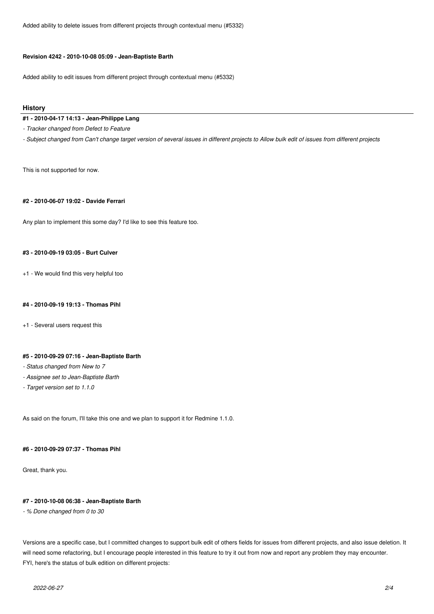Added ability to delete issues from different projects through contextual menu (#5332)

#### **Revision 4242 - 2010-10-08 05:09 - Jean-Baptiste Barth**

Added ability to edit issues from different project through contextual menu (#5332)

#### **History**

#### **#1 - 2010-04-17 14:13 - Jean-Philippe Lang**

*- Tracker changed from Defect to Feature*

*- Subject changed from Can't change target version of several issues in different projects to Allow bulk edit of issues from different projects*

This is not supported for now.

#### **#2 - 2010-06-07 19:02 - Davide Ferrari**

Any plan to implement this some day? I'd like to see this feature too.

# **#3 - 2010-09-19 03:05 - Burt Culver**

+1 - We would find this very helpful too

#### **#4 - 2010-09-19 19:13 - Thomas Pihl**

+1 - Several users request this

### **#5 - 2010-09-29 07:16 - Jean-Baptiste Barth**

- *Status changed from New to 7*
- *Assignee set to Jean-Baptiste Barth*
- *Target version set to 1.1.0*

As said on the forum, I'll take this one and we plan to support it for Redmine 1.1.0.

#### **#6 - 2010-09-29 07:37 - Thomas Pihl**

Great, thank you.

#### **#7 - 2010-10-08 06:38 - Jean-Baptiste Barth**

*- % Done changed from 0 to 30*

Versions are a specific case, but I committed changes to support bulk edit of others fields for issues from different projects, and also issue deletion. It will need some refactoring, but I encourage people interested in this feature to try it out from now and report any problem they may encounter. FYI, here's the status of bulk edition on different projects: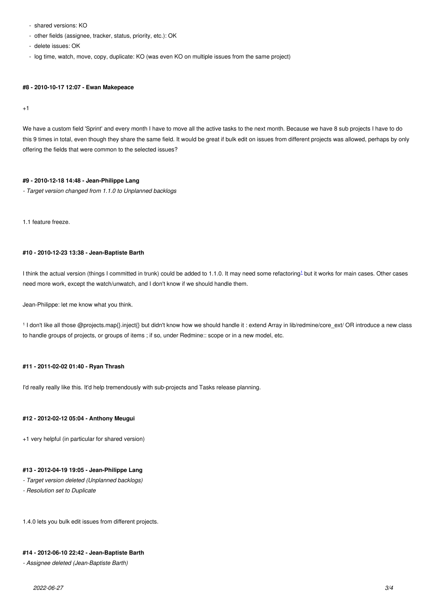- other fields (assignee, tracker, status, priority, etc.): OK
- delete issues: OK
- log time, watch, move, copy, duplicate: KO (was even KO on multiple issues from the same project)

#### **#8 - 2010-10-17 12:07 - Ewan Makepeace**

 $+1$ 

We have a custom field 'Sprint' and every month I have to move all the active tasks to the next month. Because we have 8 sub projects I have to do this 9 times in total, even though they share the same field. It would be great if bulk edit on issues from different projects was allowed, perhaps by only offering the fields that were common to the selected issues?

#### **#9 - 2010-12-18 14:48 - Jean-Philippe Lang**

*- Target version changed from 1.1.0 to Unplanned backlogs*

1.1 feature freeze.

# **#10 - 2010-12-23 13:38 - Jean-Baptiste Barth**

I think the actual version (things I committed in trunk) could be added to 1.1.0. It may need some refactoring $^{\text{\tiny 1}}$  but it works for main cases. Other cases need more work, except the watch/unwatch, and I don't know if we should handle them.

Jean-Philippe: let me know what you think.

1 I don't like all those @projects.map{}.inject{} but didn't know how we should handle it : extend Array in lib/redmine/core\_ext/ OR introduce a new class to handle groups of projects, or groups of items ; if so, under Redmine:: scope or in a new model, etc.

#### **#11 - 2011-02-02 01:40 - Ryan Thrash**

I'd really really like this. It'd help tremendously with sub-projects and Tasks release planning.

#### **#12 - 2012-02-12 05:04 - Anthony Meugui**

+1 very helpful (in particular for shared version)

# **#13 - 2012-04-19 19:05 - Jean-Philippe Lang**

- *Target version deleted (Unplanned backlogs)*
- *Resolution set to Duplicate*

1.4.0 lets you bulk edit issues from different projects.

# **#14 - 2012-06-10 22:42 - Jean-Baptiste Barth**

*- Assignee deleted (Jean-Baptiste Barth)*